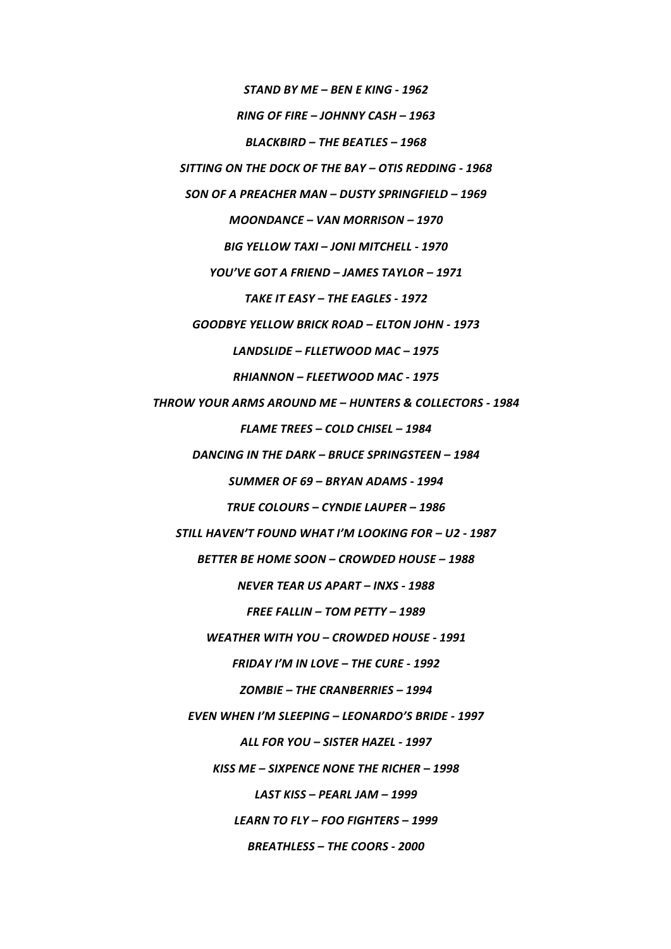*STAND BY ME – BEN E KING - 1962*

*RING OF FIRE – JOHNNY CASH – 1963*

BLACKBIRD - THE BEATLES - 1968

SITTING ON THE DOCK OF THE BAY - OTIS REDDING - 1968

*SON OF A PREACHER MAN – DUSTY SPRINGFIELD – 1969*

*MOONDANCE – VAN MORRISON – 1970*

*BIG YELLOW TAXI – JONI MITCHELL - 1970*

*YOU'VE GOT A FRIEND – JAMES TAYLOR – 1971*

TAKE IT EASY – THE EAGLES - 1972

*GOODBYE YELLOW BRICK ROAD – ELTON JOHN - 1973*

LANDSLIDE - FLLETWOOD MAC - 1975

*RHIANNON – FLEETWOOD MAC - 1975*

*THROW YOUR ARMS AROUND ME – HUNTERS & COLLECTORS - 1984*

*FLAME TREES – COLD CHISEL – 1984*

**DANCING IN THE DARK – BRUCE SPRINGSTEEN – 1984** 

*SUMMER OF 69 – BRYAN ADAMS - 1994*

**TRUE COLOURS – CYNDIE LAUPER – 1986** 

STILL HAVEN'T FOUND WHAT I'M LOOKING FOR - U2 - 1987

BETTER BE HOME SOON – CROWDED HOUSE – 1988

*NEVER TEAR US APART – INXS - 1988*

**FREE FALLIN – TOM PETTY – 1989** 

*WEATHER WITH YOU – CROWDED HOUSE - 1991*

**FRIDAY I'M IN LOVE - THE CURE - 1992** 

*ZOMBIE – THE CRANBERRIES – 1994*

*EVEN WHEN I'M SLEEPING – LEONARDO'S BRIDE - 1997*

*ALL FOR YOU – SISTER HAZEL - 1997*

KISS ME - SIXPENCE NONE THE RICHER - 1998

*LAST KISS – PEARL JAM – 1999*

*LEARN TO FLY – FOO FIGHTERS – 1999*

**BREATHLESS - THE COORS - 2000**